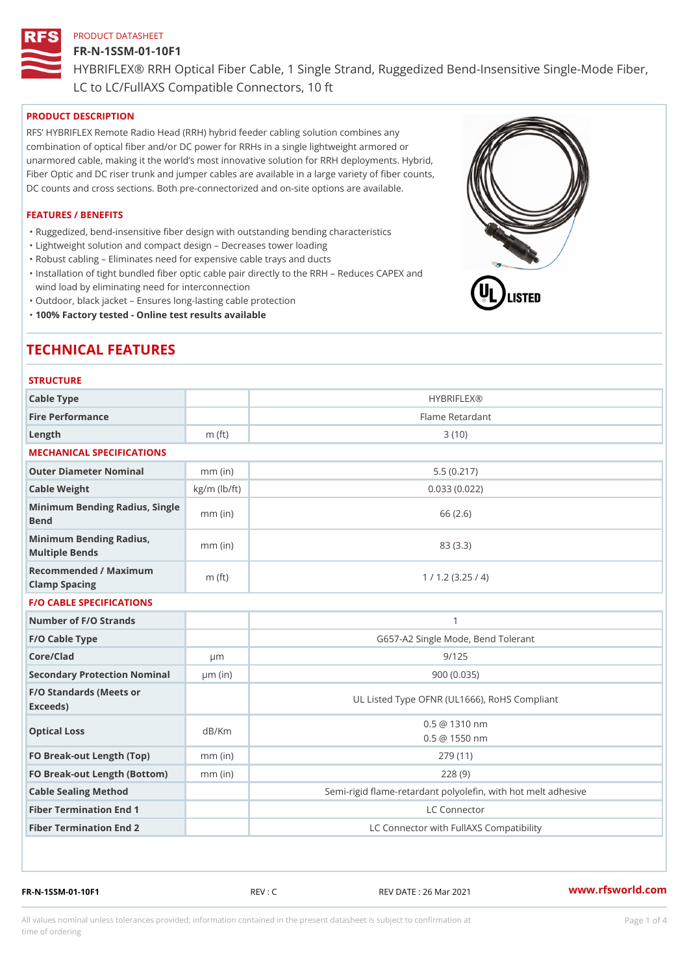## FR-N-1SSM-01-10F1

HYBRIFLEX® RRH Optical Fiber Cable, 1 Single Strand, Ruggedized Be

LC to LC/FullAXS Compatible Connectors, 10 ft

# PRODUCT DESCRIPTION

RFS HYBRIFLEX Remote Radio Head (RRH) hybrid feeder cabling solution combines any combination of optical fiber and/or DC power for RRHs in a single lightweight armored or unarmored cable, making it the world s most innovative solution for RRH deployments. Hybrid, Fiber Optic and DC riser trunk and jumper cables are available in a large variety of fiber counts, DC counts and cross sections. Both pre-connectorized and on-site options are available.

### FEATURES / BENEFITS

"Ruggedized, bend-insensitive fiber design with outstanding bending characteristics

- "Lightweight solution and compact design Decreases tower loading
- "Robust cabling Eliminates need for expensive cable trays and ducts
- "Installation of tight bundled fiber optic cable pair directly to the RRH Aeduces CAPEX and wind load by eliminating need for interconnection
- "Outdoor, black jacket Ensures long-lasting cable protection
- "100% Factory tested Online test results available

# TECHNICAL FEATURES

## **STRUCTURE**

| Cable Type                                        |                    | <b>HYBRIFLEX®</b>                                        |
|---------------------------------------------------|--------------------|----------------------------------------------------------|
| Fire Performance                                  |                    | Flame Retardant                                          |
| Length                                            | $m$ (ft)           | 3(10)                                                    |
| MECHANICAL SPECIFICATIONS                         |                    |                                                          |
| Outer Diameter Nominal                            | $mm$ (in)          | 5.5(0.217)                                               |
| Cable Weight                                      | $kg/m$ ( $lb/ft$ ) | 0.033(0.022)                                             |
| Minimum Bending Radius, Single<br>mm (in)<br>Bend |                    | 66 (2.6)                                                 |
| Minimum Bending Radius, mm (in)<br>Multiple Bends |                    | 83 (3.3)                                                 |
| Recommended / Maximum<br>Clamp Spacing            | $m$ (ft)           | 1 / 1.2 (3.25 / 4)                                       |
| <b>F/O CABLE SPECIFICATIONS</b>                   |                    |                                                          |
| Number of F/O Strands                             |                    | $\mathbf{1}$                                             |
| F/O Cable Type                                    |                    | G657-A2 Single Mode, Bend Tolerant                       |
| Core/Clad                                         | $\mu$ m            | 9/125                                                    |
| Secondary Protection Nomimal(in)                  |                    | 900(0.035)                                               |
| F/O Standards (Meets or<br>Exceeds)               |                    | UL Listed Type OFNR (UL1666), RoHS Compliant             |
| Optical Loss                                      | dB/Km              | $0.5 \ @ \ 1310 \ nm$<br>$0.5 \t@ 1550 nm$               |
| FO Break-out Length (Top)mm (in)                  |                    | 279 (11)                                                 |
| FO Break-out Length (Bottomm) (in)                |                    | 228(9)                                                   |
| Cable Sealing Method                              |                    | Semi-rigid flame-retardant polyolefin, with hot melt adl |
| Fiber Termination End                             |                    | LC Connector                                             |
| Fiber Termination End 2                           |                    | LC Connector with FullAXS Compatibility                  |

FR-N-1SSM-01-10F1 REV : C REV DATE : 26 Mar 2021 [www.](https://www.rfsworld.com)rfsworld.com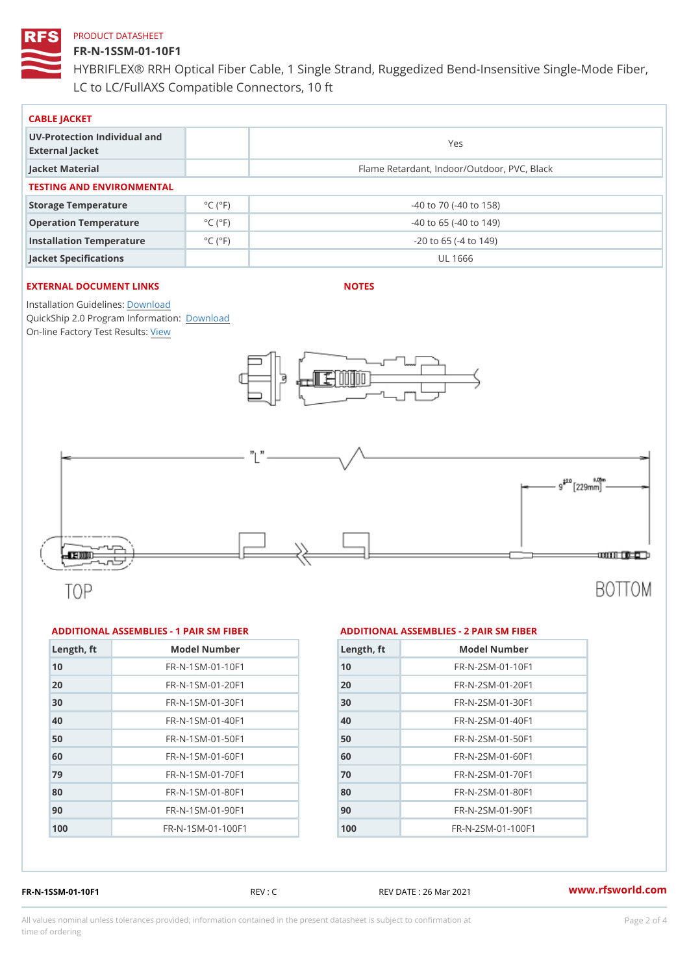# FR-N-1SSM-01-10F1

HYBRIFLEX® RRH Optical Fiber Cable, 1 Single Strand, Ruggedized Be LC to LC/FullAXS Compatible Connectors, 10 ft

| CABLE JACKET                                    |                             |                                             |  |  |  |
|-------------------------------------------------|-----------------------------|---------------------------------------------|--|--|--|
| UV-Protection Individual and<br>External Jacket |                             | Yes                                         |  |  |  |
| Jacket Material                                 |                             | Flame Retardant, Indoor/Outdoor, PVC, Black |  |  |  |
| TESTING AND ENVIRONMENTAL                       |                             |                                             |  |  |  |
| Storage Temperature                             | $^{\circ}$ C ( $^{\circ}$ F | $-40$ to $70$ ( $-40$ to $158$ )            |  |  |  |
| Operation Temperature                           | $^{\circ}$ C ( $^{\circ}$ F | $-40$ to 65 ( $-40$ to 149)                 |  |  |  |
| Installation Temperature                        | $^{\circ}$ C ( $^{\circ}$ F | $-20$ to 65 ( $-4$ to 149)                  |  |  |  |
| Jacket Specifications                           |                             | UL 1666                                     |  |  |  |

# EXTERNAL DOCUMENT LINKS

NOTES

Installation Guidelwinessad QuickShip 2.0 Program [Informa](http://www.rfsworld.com/images/hybriflex/quickship_program_2.pdf)tion: On-line Factory Te[s](https://www.rfsworld.com/pictures/userfiles/programs/AAST Latest Version.zip)teResults:

#### ADDITIONAL ASSEMBLIES - 1 PAIR SM FIBERED DITIONAL ASSEMBLIES - 2 PAIR SM FIBER

| Length, ft | Model Number                     |
|------------|----------------------------------|
| 10         | $FR - N - 1$ S M - 01 - 10 F 1   |
| 20         | FR-N-1SM-01-20F1                 |
| 30         | FR-N-1SM-01-30F1                 |
| 40         | $FR - N - 1$ S M - 0 1 - 4 0 F 1 |
| 50         | $FR - N - 1$ S M - 01 - 50 F 1   |
| 60         | $FR - N - 1$ S M - 01 - 60 F 1   |
| 79         | FR-N-1SM-01-70F1                 |
| 80         | $FR - N - 1$ S M - 01 - 80 F 1   |
| 90         | $FR - N - 1$ S M - 01 - 90 F 1   |
| 100        | $FR - N - 1 S M - 01 - 100 F1$   |

| Length, ft | Model Number                  |
|------------|-------------------------------|
| 10         | $FR - N - 2 SM - 01 - 10 F1$  |
| 20         | FR-N-2SM-01-20F1              |
| 30         | $FR - N - 2SM - 01 - 30F1$    |
| 40         | $FR - N - 2 SM - 01 - 40 F1$  |
| 50         | FR-N-2SM-01-50F1              |
| 60         | FR-N-2SM-01-60F1              |
| 70         | $FR - N - 2 SM - 01 - 70 F1$  |
| 80         | FR-N-2SM-01-80F1              |
| 90         | $FR - N - 2 S M - 01 - 90 F1$ |
| 100        | $FR - N - 2 SM - 01 - 100 F1$ |
|            |                               |

FR-N-1SSM-01-10F1 REV : C REV DATE : 26 Mar 2021 [www.](https://www.rfsworld.com)rfsworld.com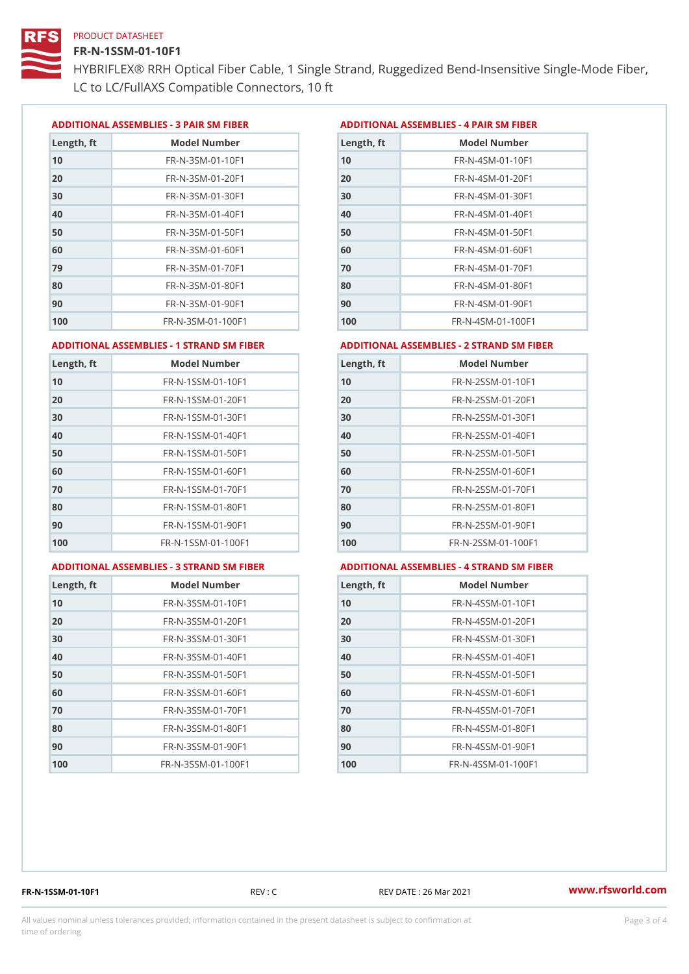### FR-N-1SSM-01-10F1

HYBRIFLEX® RRH Optical Fiber Cable, 1 Single Strand, Ruggedized Be LC to LC/FullAXS Compatible Connectors, 10 ft

ADDITIONAL ASSEMBLIES - 3 PAIR SM FIBERED DITIONAL ASSEMBLIES - 4 PAIR SM FIBER

| Length, ft | Model Number                   |
|------------|--------------------------------|
| 10         | $FR - N - 3 S M - 01 - 10 F1$  |
| 20         | FR-N-3SM-01-20F1               |
| 30         | FR-N-3SM-01-30F1               |
| 40         | $FR - N - 3 S M - 01 - 40 F1$  |
| 50         | FR-N-3SM-01-50F1               |
| 60         | $FR - N - 3 S M - 01 - 60 F1$  |
| 79         | $FR - N - 3 S M - 01 - 70 F1$  |
| 80         | $FR - N - 3 S M - 01 - 80 F1$  |
| 90         | FR-N-3SM-01-90F1               |
| 100        | $FR - N - 3 S M - 01 - 100 F1$ |

| Length, ft | Model Number                   |
|------------|--------------------------------|
| 10         | FR-N-4SM-01-10F1               |
| 20         | $FR - N - 4 S M - 01 - 20 F1$  |
| 30         | $FR - N - 4 S M - 01 - 30 F1$  |
| 40         | FR-N-4SM-01-40F1               |
| 50         | $FR - N - 4 S M - 01 - 50 F1$  |
| 60         | $FR - N - 4 SM - 01 - 60 F1$   |
| 70         | $FR - N - 4 SM - 01 - 70 F1$   |
| 80         | $FR - N - 4 S M - 01 - 80 F1$  |
| 90         | FR-N-4SM-01-90F1               |
| 100        | $FR - N - 4 S M - 01 - 100 F1$ |

#### ADDITIONAL ASSEMBLIES - 1 STRAND SM FABSDRTIONAL ASSEMBLIES - 2 STRAND SM FIBER

| 10<br>FR-N-1SSM-01-10F1<br>10<br>20<br>20<br>$FR - N - 1$ S S M - 01 - 20 F 1<br>30<br>FR-N-1SSM-01-30F1<br>30<br>40<br>$FR - N - 1$ S S M - 01 - 40 F 1<br>40<br>50<br>50<br>FR-N-1SSM-01-50F1<br>60<br>$FR - N - 1$ S S M - 01 - 60 F 1<br>60<br>70<br>70<br>FR-N-1SSM-01-70F1<br>80<br>FR-N-1SSM-01-80F1<br>80<br>90<br>FR-N-1SSM-01-90F1<br>90<br>100<br>$FR - N - 1$ S S M - 01 - 100 F 1<br>100 | Length, ft | Model Number | Length, ft | Model Number                      |
|-------------------------------------------------------------------------------------------------------------------------------------------------------------------------------------------------------------------------------------------------------------------------------------------------------------------------------------------------------------------------------------------------------|------------|--------------|------------|-----------------------------------|
|                                                                                                                                                                                                                                                                                                                                                                                                       |            |              |            | FR-N-2SSM-01-10F1                 |
|                                                                                                                                                                                                                                                                                                                                                                                                       |            |              |            | FR-N-2SSM-01-20F1                 |
|                                                                                                                                                                                                                                                                                                                                                                                                       |            |              |            | FR-N-2SSM-01-30F1                 |
|                                                                                                                                                                                                                                                                                                                                                                                                       |            |              |            | FR-N-2SSM-01-40F1                 |
|                                                                                                                                                                                                                                                                                                                                                                                                       |            |              |            | FR-N-2SSM-01-50F1                 |
|                                                                                                                                                                                                                                                                                                                                                                                                       |            |              |            | $FR - N - 2$ S S M - 01 - 60 F 1  |
|                                                                                                                                                                                                                                                                                                                                                                                                       |            |              |            | $FR - N - 2$ S S M - 01 - 70 F 1  |
|                                                                                                                                                                                                                                                                                                                                                                                                       |            |              |            | FR-N-2SSM-01-80F1                 |
|                                                                                                                                                                                                                                                                                                                                                                                                       |            |              |            | FR-N-2SSM-01-90F1                 |
|                                                                                                                                                                                                                                                                                                                                                                                                       |            |              |            | $FR - N - 2$ S S M - 01 - 100 F 1 |

### ADDITIONAL ASSEMBLIES - 3 STRAND SM

| 1 FABDRTIONAL ASSEMBLIE |  |
|-------------------------|--|
|                         |  |

|  | FAEDERTIONAL ASSEMBLIES - 4 STRAND SM FIBERI |  |  |  |  |
|--|----------------------------------------------|--|--|--|--|
|--|----------------------------------------------|--|--|--|--|

| Length, ft | Model Number                    |
|------------|---------------------------------|
| 10         | FR-N-3SSM-01-10F1               |
| 20         | FR-N-3SSM-01-20F1               |
| 30         | FR-N-3SSM-01-30F1               |
| 40         | FR-N-3SSM-01-40F1               |
| 50         | FR-N-3SSM-01-50F1               |
| 60         | FR-N-3SSM-01-60F1               |
| 70         | $FR - N - 3 S S M - 01 - 70 F1$ |
| 80         | FR-N-3SSM-01-80F1               |
| 90         | $FR - N - 3 S S M - 01 - 90 F1$ |
| 100        | FR-N-3SSM-01-100F1              |

| $L$ ength, ft | Model Number                     |
|---------------|----------------------------------|
| 10            | $FR - N - 4$ S S M - 01 - 10 F 1 |
| 20            | FR-N-4SSM-01-20F1                |
| 30            | $FR - N - 4$ S S M - 01 - 30 F 1 |
| 40            | $FR - N - 4$ S S M - 01 - 40 F 1 |
| 50            | FR-N-4SSM-01-50F1                |
| 60            | FR-N-4SSM-01-60F1                |
| 70            | $FR - N - 4 S S M - 01 - 70 F1$  |
| 80            | FR-N-4SSM-01-80F1                |
| 90            | $FR - N - 4$ S S M - 01 - 90 F 1 |
| 100           | FR-N-4SSM-01-100F1               |

FR-N-1SSM-01-10F1 REV : C REV DATE : 26 Mar 2021 [www.](https://www.rfsworld.com)rfsworld.com

All values nominal unless tolerances provided; information contained in the present datasheet is subject to Pcapgeling that i time of ordering